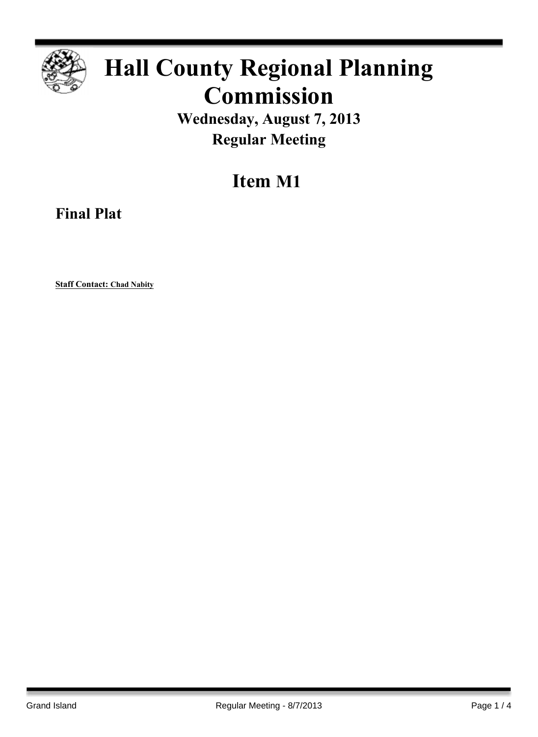

## **Hall County Regional Planning Commission**

**Wednesday, August 7, 2013 Regular Meeting**

**Item M1**

**Final Plat**

**Staff Contact: Chad Nabity**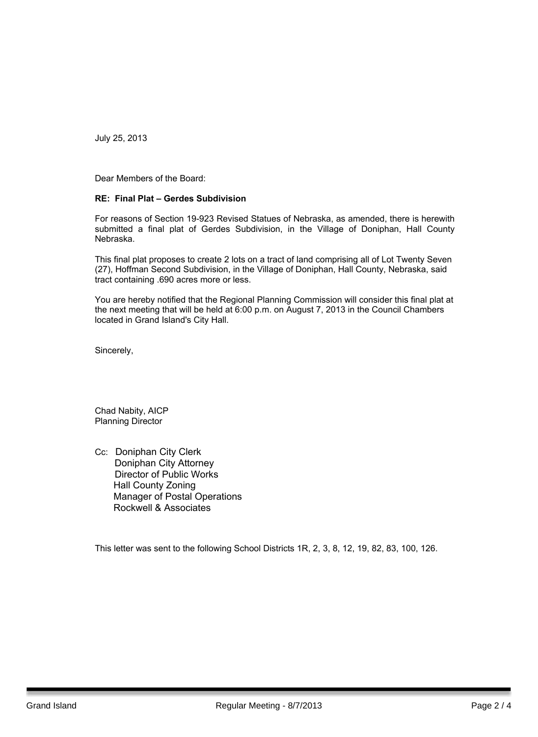July 25, 2013

Dear Members of the Board:

#### **RE: Final Plat – Gerdes Subdivision**

For reasons of Section 19-923 Revised Statues of Nebraska, as amended, there is herewith submitted a final plat of Gerdes Subdivision, in the Village of Doniphan, Hall County Nebraska.

This final plat proposes to create 2 lots on a tract of land comprising all of Lot Twenty Seven (27), Hoffman Second Subdivision, in the Village of Doniphan, Hall County, Nebraska, said tract containing .690 acres more or less.

You are hereby notified that the Regional Planning Commission will consider this final plat at the next meeting that will be held at 6:00 p.m. on August 7, 2013 in the Council Chambers located in Grand Island's City Hall.

Sincerely,

Chad Nabity, AICP Planning Director

Cc: Doniphan City Clerk Doniphan City Attorney Director of Public Works Hall County Zoning Manager of Postal Operations Rockwell & Associates

This letter was sent to the following School Districts 1R, 2, 3, 8, 12, 19, 82, 83, 100, 126.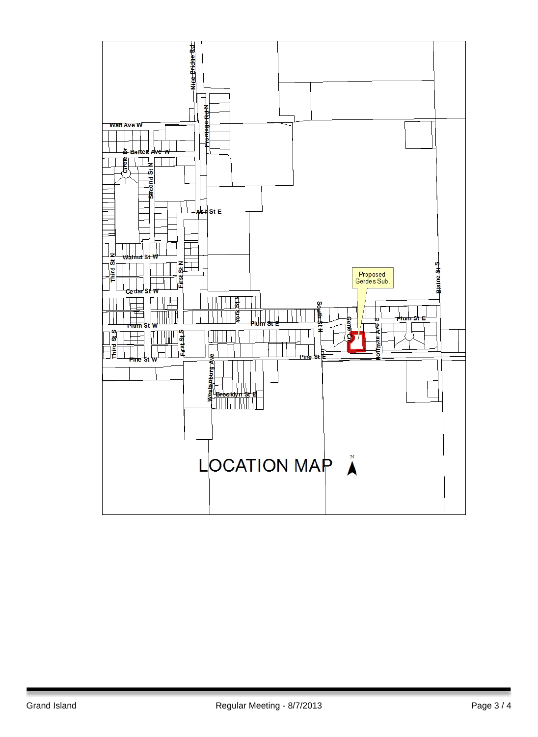